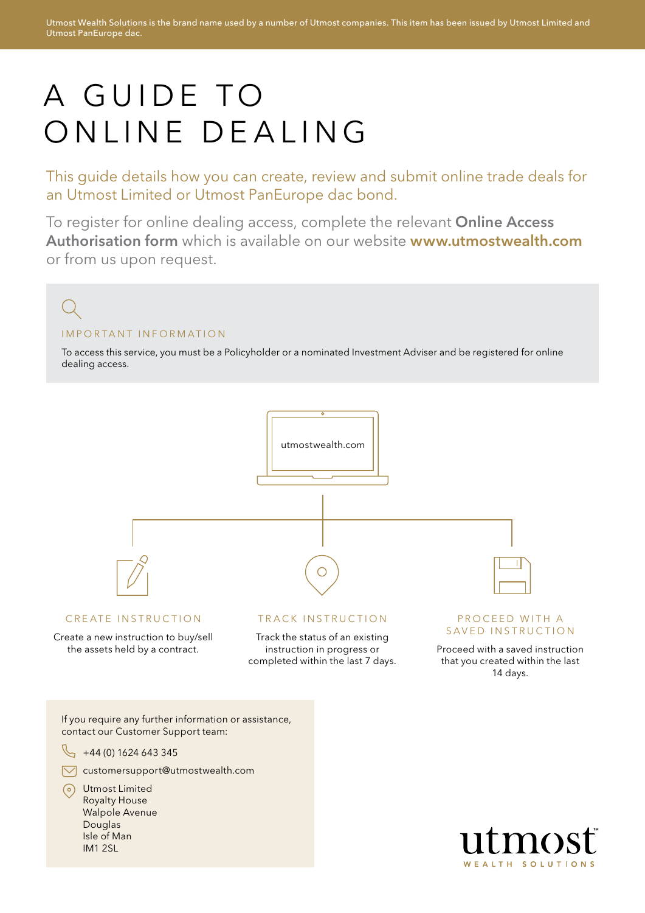# A GUIDE TO ONLINE DEALING

This guide details how you can create, review and submit online trade deals for an Utmost Limited or Utmost PanEurope dac bond.

To register for online dealing access, complete the relevant Online Access Authorisation form which is available on our website www.utmostwealth.com or from us upon request.

#### IMPORTANT INFORMATION

To access this service, you must be a Policyholder or a nominated Investment Adviser and be registered for online dealing access.

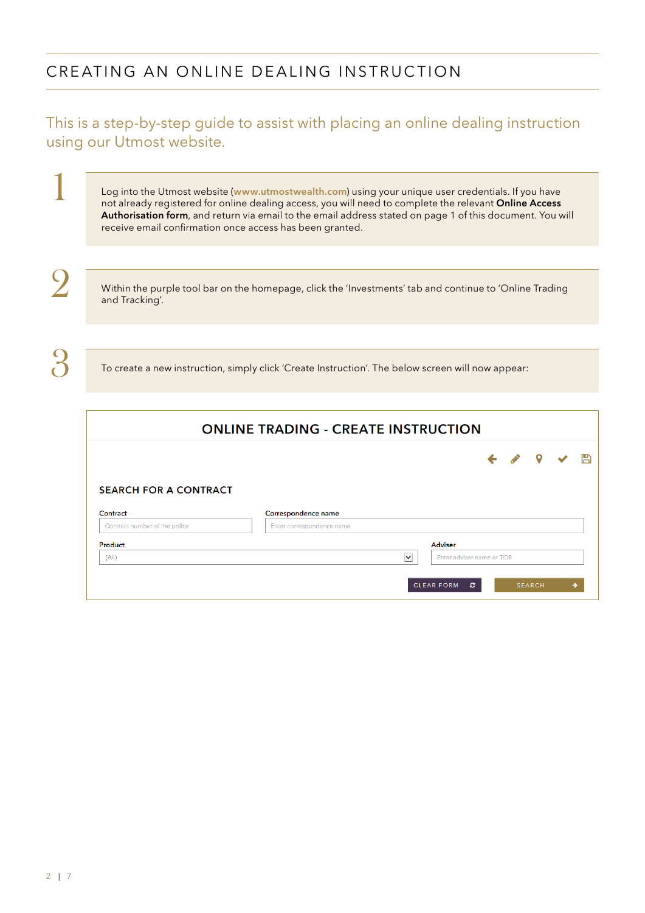## CREATING AN ONLINE DEALING INSTRUCTION

#### This is a step-by-step guide to assist with placing an online dealing instruction using our Utmost website.

Log into the Utmost website (www.utmostwealth.com) using your unique user credentials. If you have not already registered for online dealing access, you will need to complete the relevant Online Access Authorisation form, and return via email to the email address stated on page 1 of this document. You will receive email confirmation once access has been granted.

Within the purple tool bar on the homepage, click the 'Investments' tab and continue to 'Online Trading and Tracking'.

To create a new instruction, simply click 'Create Instruction'. The below screen will now appear:

|                               | <b>ONLINE TRADING - CREATE INSTRUCTION</b> |              |          |  |
|-------------------------------|--------------------------------------------|--------------|----------|--|
|                               |                                            | $\leftarrow$ | <b>P</b> |  |
|                               |                                            |              |          |  |
|                               |                                            |              |          |  |
| <b>SEARCH FOR A CONTRACT</b>  |                                            |              |          |  |
| Contract                      | Correspondence name                        |              |          |  |
| Contract number of the policy | Enter correspondence name                  |              |          |  |
| Product                       | <b>Adviser</b>                             |              |          |  |

1

2

3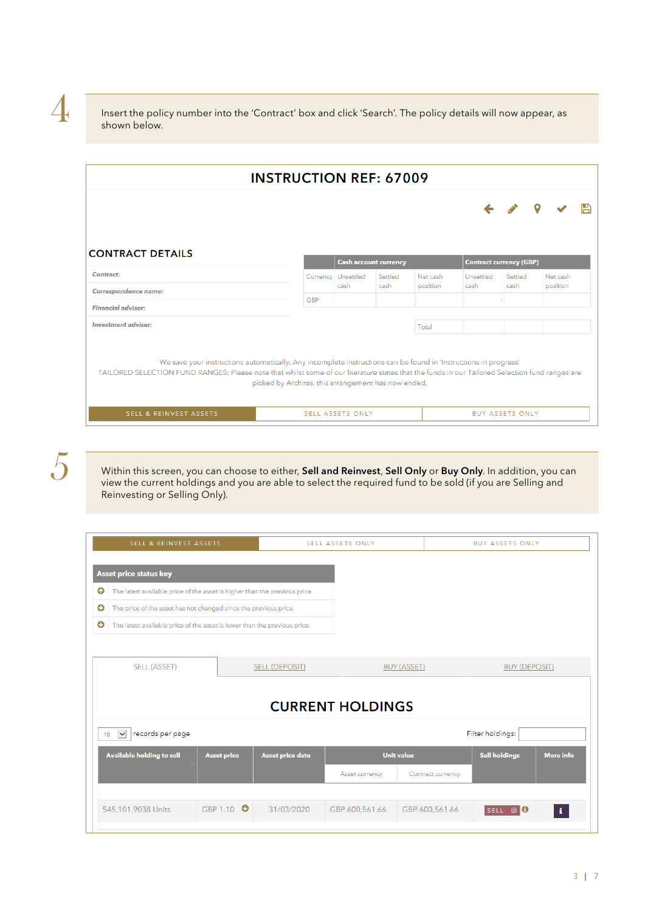4

Insert the policy number into the 'Contract' box and click 'Search'. The policy details will now appear, as shown below.

|                                                                                                                                                                                                                                                                   | <b>INSTRUCTION REF: 67009</b>                       |                              |         |          |                                |                        |          |  |
|-------------------------------------------------------------------------------------------------------------------------------------------------------------------------------------------------------------------------------------------------------------------|-----------------------------------------------------|------------------------------|---------|----------|--------------------------------|------------------------|----------|--|
|                                                                                                                                                                                                                                                                   |                                                     |                              |         |          |                                |                        |          |  |
| <b>CONTRACT DETAILS</b>                                                                                                                                                                                                                                           |                                                     | <b>Cash account currency</b> |         |          | <b>Contract currency (GBP)</b> |                        |          |  |
| Contract:                                                                                                                                                                                                                                                         | Currency                                            | Unsettled                    | Settled | Net cash | Unsettled                      | Settled                | Net cash |  |
| Correspondence name:                                                                                                                                                                                                                                              |                                                     | cash                         | cash    | position | cash.                          | cash                   | position |  |
| <b>Financial adviser:</b>                                                                                                                                                                                                                                         | <b>GBP</b>                                          |                              |         |          |                                |                        |          |  |
| <b>Investment adviser:</b>                                                                                                                                                                                                                                        |                                                     |                              |         | Total    |                                |                        |          |  |
| We save your instructions automatically. Any incomplete instructions can be found in 'Instructions in progress'<br>TAILORED SELECTION FUND RANGES: Please note that whilst some of our literature states that the funds in our Tailored Selection fund ranges are | picked by Architas, this arrangement has now ended. |                              |         |          |                                |                        |          |  |
| SELL & REINVEST ASSETS                                                                                                                                                                                                                                            |                                                     | <b>SELL ASSETS ONLY</b>      |         |          |                                | <b>BUY ASSETS ONLY</b> |          |  |

5

Within this screen, you can choose to either, Sell and Reinvest, Sell Only or Buy Only. In addition, you can view the current holdings and you are able to select the required fund to be sold (if you are Selling and Reinvesting or Selling Only).

| <b>Asset price status key</b><br>The latest available price of the asset is higher than the previous price. |                                                                  |                       |                                                                                                    |                   |                                                                    |                                          |
|-------------------------------------------------------------------------------------------------------------|------------------------------------------------------------------|-----------------------|----------------------------------------------------------------------------------------------------|-------------------|--------------------------------------------------------------------|------------------------------------------|
|                                                                                                             |                                                                  |                       |                                                                                                    |                   |                                                                    |                                          |
|                                                                                                             |                                                                  |                       |                                                                                                    |                   |                                                                    |                                          |
|                                                                                                             | The price of the asset has not changed since the previous price. |                       |                                                                                                    |                   |                                                                    |                                          |
|                                                                                                             |                                                                  |                       |                                                                                                    |                   |                                                                    |                                          |
|                                                                                                             |                                                                  |                       |                                                                                                    |                   |                                                                    |                                          |
| <b>SELL (ASSET)</b>                                                                                         |                                                                  |                       |                                                                                                    |                   |                                                                    |                                          |
|                                                                                                             |                                                                  |                       |                                                                                                    |                   |                                                                    |                                          |
| records per page<br>$\checkmark$                                                                            |                                                                  |                       |                                                                                                    |                   |                                                                    |                                          |
| Available holding to sell                                                                                   | <b>Asset price</b>                                               | Asset price date      |                                                                                                    |                   | <b>Sell holdings</b>                                               | <b>More</b> info                         |
|                                                                                                             |                                                                  |                       | Asset currency                                                                                     | Contract currency |                                                                    |                                          |
|                                                                                                             |                                                                  |                       |                                                                                                    |                   |                                                                    |                                          |
| 545,101.9038 Units                                                                                          |                                                                  | 31/03/2020            | GBP 600,561.66                                                                                     | GBP 600,561.66    | SELL <b>B</b> D                                                    | $\mathbf{i}$                             |
|                                                                                                             |                                                                  | GBP 1.10 <sup>O</sup> | The latest available price of the asset is lower than the previous price.<br><b>SELL (DEPOSIT)</b> |                   | <b>BUY (ASSET)</b><br><b>CURRENT HOLDINGS</b><br><b>Unit value</b> | <b>BUY (DEPOSIT)</b><br>Filter holdings: |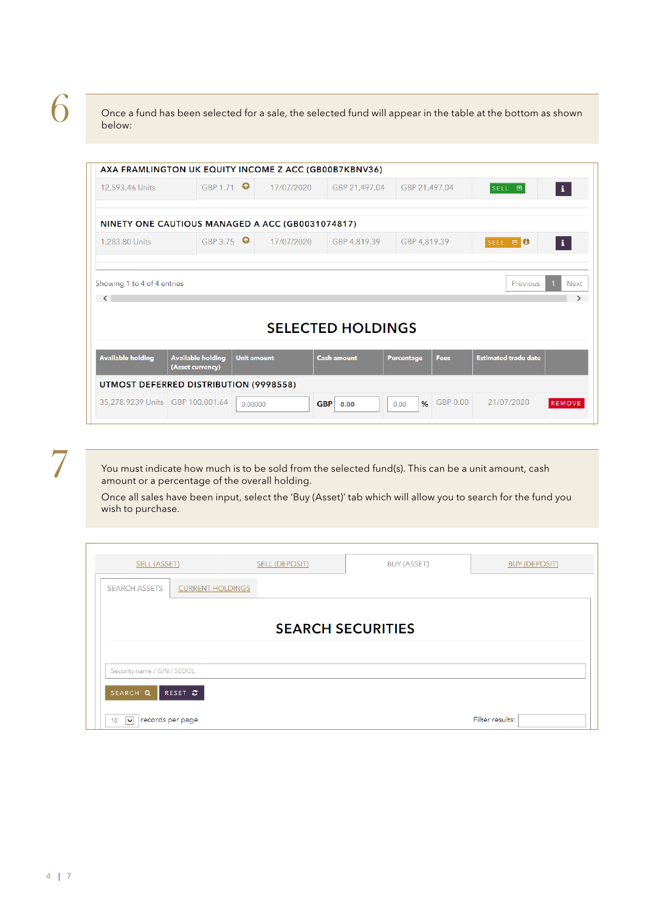6

Once a fund has been selected for a sale, the selected fund will appear in the table at the bottom as shown below:

|                                                                   | AXA FRAMLINGTON UK EQUITY INCOME Z ACC (GB00B7KBNV36) |                    |            |                          |               |             |                             |                       |
|-------------------------------------------------------------------|-------------------------------------------------------|--------------------|------------|--------------------------|---------------|-------------|-----------------------------|-----------------------|
| 12,593.46 Units                                                   | GBP 1.71                                              |                    | 17/07/2020 | GBP 21,497.04            | GBP 21,497.04 |             | SELL <b>B</b>               | $\mathbf{A}$          |
|                                                                   | NINETY ONE CAUTIOUS MANAGED A ACC (GB0031074817)      |                    |            |                          |               |             |                             |                       |
| 1,283.80 Units                                                    | GBP 3.75 <sup>O</sup>                                 |                    | 17/07/2020 | GBP 4,819.39             | GBP 4,819.39  |             | SELL <b>E O</b>             | $\mathbf{H}$          |
|                                                                   |                                                       |                    |            |                          |               |             | Previous                    | Next<br>$\rightarrow$ |
|                                                                   |                                                       |                    |            | <b>SELECTED HOLDINGS</b> |               |             |                             |                       |
|                                                                   | <b>Available holding</b><br>(Asset currency)          | <b>Unit amount</b> |            | <b>Cash amount</b>       | Percentage    | <b>Fees</b> | <b>Estimated trade date</b> |                       |
| Showing 1 to 4 of 4 entries<br>$\sim$<br><b>Available holding</b> | UTMOST DEFERRED DISTRIBUTION (9998558)                |                    |            |                          |               |             |                             |                       |

 $\overline{\phantom{a}}$ 

You must indicate how much is to be sold from the selected fund(s). This can be a unit amount, cash amount or a percentage of the overall holding.

Once all sales have been input, select the 'Buy (Asset)' tab which will allow you to search for the fund you wish to purchase.

| SELL (ASSET)                  |                         | <b>SELL (DEPOSIT)</b> | BUY (ASSET)              | <b>BUY (DEPOSIT)</b> |
|-------------------------------|-------------------------|-----------------------|--------------------------|----------------------|
| <b>SEARCH ASSETS</b>          | <b>CURRENT HOLDINGS</b> |                       |                          |                      |
|                               |                         |                       | <b>SEARCH SECURITIES</b> |                      |
| Security name / ISIN / SEDOL  |                         |                       |                          |                      |
| SEARCH Q                      | RESET C                 |                       |                          |                      |
| 10<br>$\overline{\mathbf{v}}$ | records per page        |                       |                          | Filter results:      |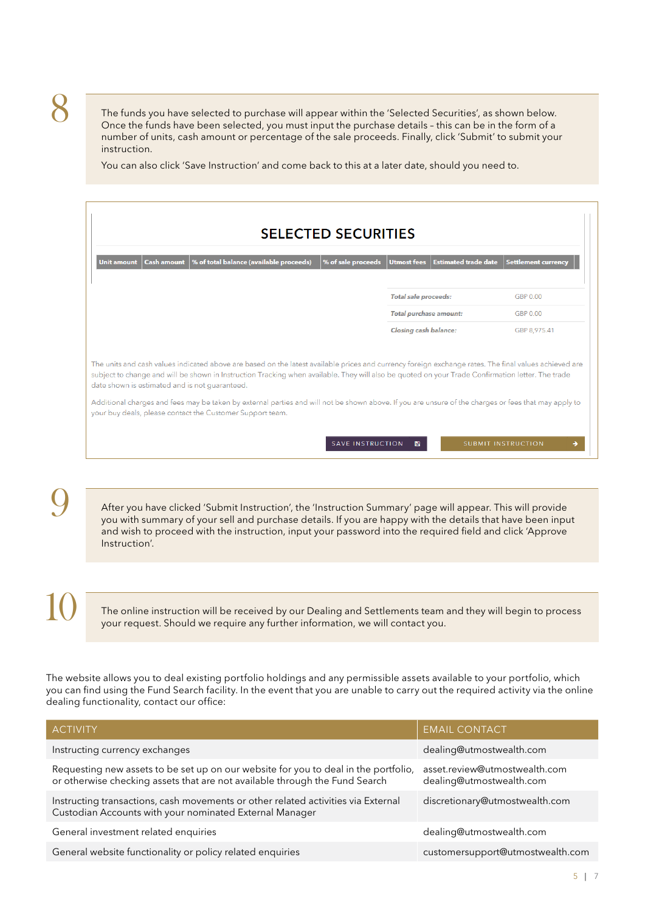The funds you have selected to purchase will appear within the 'Selected Securities', as shown below. Once the funds have been selected, you must input the purchase details – this can be in the form of a number of units, cash amount or percentage of the sale proceeds. Finally, click 'Submit' to submit your instruction.

You can also click 'Save Instruction' and come back to this at a later date, should you need to.

| <b>SELECTED SECURITIES</b><br>% of total balance (available proceeds)<br>% of sale proceeds<br><b>Cash amount</b><br><b>Unit amount</b>                                                                                                                                                                                                                                                                                                                                                                                                                                           | Utmost fees Estimated trade date | Settlement currency       |
|-----------------------------------------------------------------------------------------------------------------------------------------------------------------------------------------------------------------------------------------------------------------------------------------------------------------------------------------------------------------------------------------------------------------------------------------------------------------------------------------------------------------------------------------------------------------------------------|----------------------------------|---------------------------|
|                                                                                                                                                                                                                                                                                                                                                                                                                                                                                                                                                                                   | <b>Total sale proceeds:</b>      | GBP 0.00                  |
|                                                                                                                                                                                                                                                                                                                                                                                                                                                                                                                                                                                   | <b>Total purchase amount:</b>    | GBP 0.00                  |
|                                                                                                                                                                                                                                                                                                                                                                                                                                                                                                                                                                                   | <b>Closing cash balance:</b>     | GBP 8.975.41              |
| The units and cash values indicated above are based on the latest available prices and currency foreign exchange rates. The final values achieved are<br>subject to change and will be shown in Instruction Tracking when available. They will also be quoted on your Trade Confirmation letter. The trade<br>date shown is estimated and is not guaranteed.<br>Additional charges and fees may be taken by external parties and will not be shown above. If you are unsure of the charges or fees that may apply to<br>your buy deals, please contact the Customer Support team. |                                  |                           |
|                                                                                                                                                                                                                                                                                                                                                                                                                                                                                                                                                                                   | <b>SAVE INSTRUCTION</b><br>n     | <b>SUBMIT INSTRUCTION</b> |

After you have clicked 'Submit Instruction', the 'Instruction Summary' page will appear. This will provide you with summary of your sell and purchase details. If you are happy with the details that have been input and wish to proceed with the instruction, input your password into the required field and click 'Approve Instruction'.

10

9

The online instruction will be received by our Dealing and Settlements team and they will begin to process your request. Should we require any further information, we will contact you.

The website allows you to deal existing portfolio holdings and any permissible assets available to your portfolio, which you can find using the Fund Search facility. In the event that you are unable to carry out the required activity via the online dealing functionality, contact our office:

| <b>ACTIVITY</b>                                                                                                                                                    | <b>EMAIL CONTACT</b>                                      |
|--------------------------------------------------------------------------------------------------------------------------------------------------------------------|-----------------------------------------------------------|
| Instructing currency exchanges                                                                                                                                     | dealing@utmostwealth.com                                  |
| Requesting new assets to be set up on our website for you to deal in the portfolio,<br>or otherwise checking assets that are not available through the Fund Search | asset.review@utmostwealth.com<br>dealing@utmostwealth.com |
| Instructing transactions, cash movements or other related activities via External<br>Custodian Accounts with your nominated External Manager                       | discretionary@utmostwealth.com                            |
| General investment related enquiries                                                                                                                               | dealing@utmostwealth.com                                  |
| General website functionality or policy related enquiries                                                                                                          | customersupport@utmostwealth.com                          |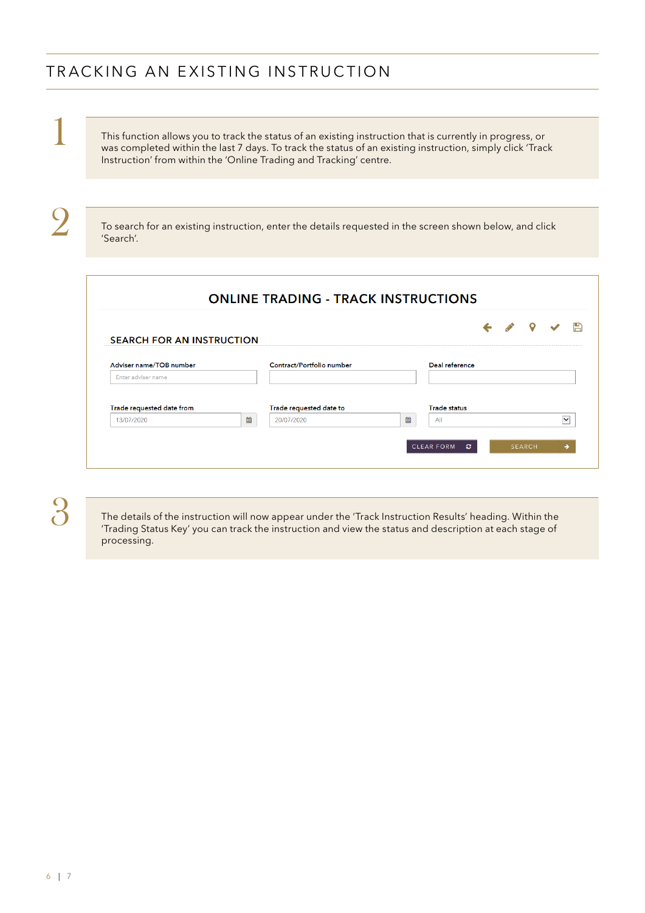### TRACKING AN EXISTING INSTRUCTION

This function allows you to track the status of an existing instruction that is currently in progress, or was completed within the last 7 days. To track the status of an existing instruction, simply click 'Track Instruction' from within the 'Online Trading and Tracking' centre.

2

1

To search for an existing instruction, enter the details requested in the screen shown below, and click 'Search'.

| <b>ONLINE TRADING - TRACK INSTRUCTIONS</b> |  |
|--------------------------------------------|--|
|                                            |  |

| Adviser name/TOB number                 | Contract/Portfolio number                         |   | Deal reference      |  |              |
|-----------------------------------------|---------------------------------------------------|---|---------------------|--|--------------|
| Enter adviser name                      |                                                   |   |                     |  |              |
|                                         |                                                   |   |                     |  |              |
|                                         |                                                   |   |                     |  |              |
|                                         |                                                   |   |                     |  |              |
|                                         |                                                   |   | <b>Trade status</b> |  |              |
| Trade requested date from<br>13/07/2020 | <b>Trade requested date to</b><br>篇<br>20/07/2020 | 鱛 | All                 |  | $\checkmark$ |

3

The details of the instruction will now appear under the 'Track Instruction Results' heading. Within the 'Trading Status Key' you can track the instruction and view the status and description at each stage of processing.